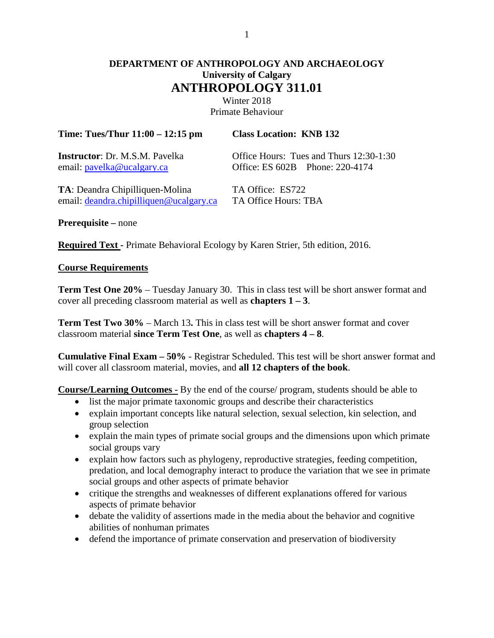# **DEPARTMENT OF ANTHROPOLOGY AND ARCHAEOLOGY University of Calgary ANTHROPOLOGY 311.01**

Winter 2018 Primate Behaviour

| Time: Tues/Thur $11:00 - 12:15$ pm      | <b>Class Location: KNB 132</b>          |  |  |
|-----------------------------------------|-----------------------------------------|--|--|
| <b>Instructor</b> : Dr. M.S.M. Pavelka  | Office Hours: Tues and Thurs 12:30-1:30 |  |  |
| email: pavelka@ucalgary.ca              | Office: ES 602B Phone: 220-4174         |  |  |
| <b>TA</b> : Deandra Chipilliquen-Molina | TA Office: ES722                        |  |  |
| email: deandra.chipilliquen@ucalgary.ca | TA Office Hours: TBA                    |  |  |

**Prerequisite –** none

**Required Text -** Primate Behavioral Ecology by Karen Strier, 5th edition, 2016.

#### **Course Requirements**

**Term Test One 20%** – Tuesday January 30. This in class test will be short answer format and cover all preceding classroom material as well as **chapters 1 – 3**.

**Term Test Two 30%** – March 13**.** This in class test will be short answer format and cover classroom material **since Term Test One**, as well as **chapters 4 – 8**.

**Cumulative Final Exam – 50%** - Registrar Scheduled. This test will be short answer format and will cover all classroom material, movies, and **all 12 chapters of the book**.

**Course/Learning Outcomes -** By the end of the course/ program, students should be able to

- list the major primate taxonomic groups and describe their characteristics
- explain important concepts like natural selection, sexual selection, kin selection, and group selection
- explain the main types of primate social groups and the dimensions upon which primate social groups vary
- explain how factors such as phylogeny, reproductive strategies, feeding competition, predation, and local demography interact to produce the variation that we see in primate social groups and other aspects of primate behavior
- critique the strengths and weaknesses of different explanations offered for various aspects of primate behavior
- debate the validity of assertions made in the media about the behavior and cognitive abilities of nonhuman primates
- defend the importance of primate conservation and preservation of biodiversity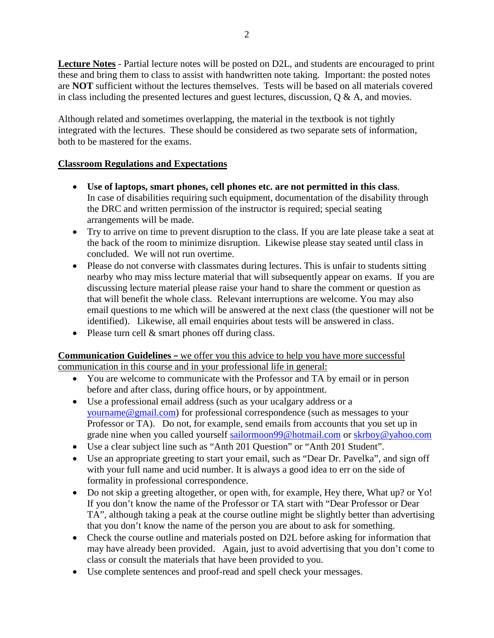**Lecture Notes** - Partial lecture notes will be posted on D2L, and students are encouraged to print these and bring them to class to assist with handwritten note taking. Important: the posted notes are **NOT** sufficient without the lectures themselves. Tests will be based on all materials covered in class including the presented lectures and guest lectures, discussion,  $\dot{Q} \& A$ , and movies.

Although related and sometimes overlapping, the material in the textbook is not tightly integrated with the lectures. These should be considered as two separate sets of information, both to be mastered for the exams.

# **Classroom Regulations and Expectations**

- **Use of laptops, smart phones, cell phones etc. are not permitted in this class**. In case of disabilities requiring such equipment, documentation of the disability through the DRC and written permission of the instructor is required; special seating arrangements will be made.
- Try to arrive on time to prevent disruption to the class. If you are late please take a seat at the back of the room to minimize disruption. Likewise please stay seated until class in concluded. We will not run overtime.
- Please do not converse with classmates during lectures. This is unfair to students sitting nearby who may miss lecture material that will subsequently appear on exams. If you are discussing lecture material please raise your hand to share the comment or question as that will benefit the whole class. Relevant interruptions are welcome. You may also email questions to me which will be answered at the next class (the questioner will not be identified). Likewise, all email enquiries about tests will be answered in class.
- Please turn cell & smart phones off during class.

# **Communication Guidelines –** we offer you this advice to help you have more successful communication in this course and in your professional life in general:

- You are welcome to communicate with the Professor and TA by email or in person before and after class, during office hours, or by appointment.
- Use a professional email address (such as your ucalgary address or a [yourname@gmail.com\)](mailto:yourname@gmail.com) for professional correspondence (such as messages to your Professor or TA). Do not, for example, send emails from accounts that you set up in grade nine when you called yourself [sailormoon99@hotmail.com](mailto:sailormoon99@hotmail.com) or [skrboy@yahoo.com](mailto:skrboy@yahoo.com)
- Use a clear subject line such as "Anth 201 Question" or "Anth 201 Student".
- Use an appropriate greeting to start your email, such as "Dear Dr. Pavelka", and sign off with your full name and ucid number. It is always a good idea to err on the side of formality in professional correspondence.
- Do not skip a greeting altogether, or open with, for example, Hey there, What up? or Yo! If you don't know the name of the Professor or TA start with "Dear Professor or Dear TA", although taking a peak at the course outline might be slightly better than advertising that you don't know the name of the person you are about to ask for something.
- Check the course outline and materials posted on D2L before asking for information that may have already been provided. Again, just to avoid advertising that you don't come to class or consult the materials that have been provided to you.
- Use complete sentences and proof-read and spell check your messages.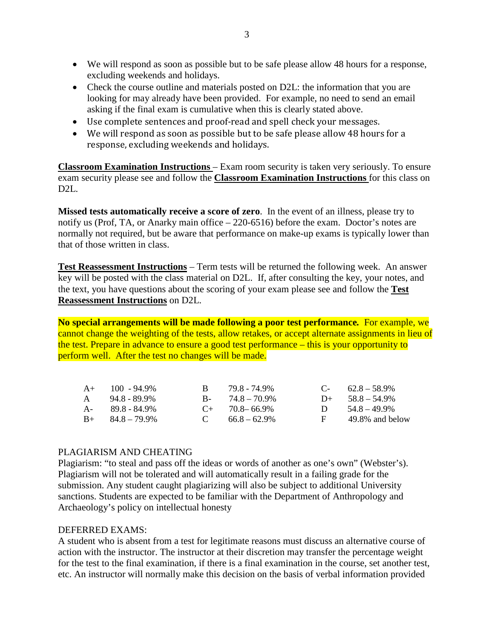- We will respond as soon as possible but to be safe please allow 48 hours for a response, excluding weekends and holidays.
- Check the course outline and materials posted on D2L: the information that you are looking for may already have been provided. For example, no need to send an email asking if the final exam is cumulative when this is clearly stated above.
- Use complete sentences and proof-read and spell check your messages.
- We will respond as soon as possible but to be safe please allow 48 hours for a response, excluding weekends and holidays.

**Classroom Examination Instructions** – Exam room security is taken very seriously. To ensure exam security please see and follow the **Classroom Examination Instructions** for this class on D2L.

**Missed tests automatically receive a score of zero**. In the event of an illness, please try to notify us (Prof, TA, or Anarky main office – 220-6516) before the exam. Doctor's notes are normally not required, but be aware that performance on make-up exams is typically lower than that of those written in class.

**Test Reassessment Instructions** – Term tests will be returned the following week. An answer key will be posted with the class material on D2L. If, after consulting the key, your notes, and the text, you have questions about the scoring of your exam please see and follow the **Test Reassessment Instructions** on D2L.

**No special arrangements will be made following a poor test performance***.* For example, we cannot change the weighting of the tests, allow retakes, or accept alternate assignments in lieu of the test. Prepare in advance to ensure a good test performance – this is your opportunity to perform well. After the test no changes will be made.

| $A+$ 100 - 94.9%        | R. | 79.8 - 74.9%        |    | $C-$ 62.8 – 58.9%  |
|-------------------------|----|---------------------|----|--------------------|
| $A = 94.8 - 89.9\%$     |    | $B - 74.8 - 70.9\%$ |    | $D+ 58.8 - 54.9\%$ |
| $A - 89.8 - 84.9\%$     |    | $C_{+}$ 70.8–66.9%  |    | D $54.8 - 49.9\%$  |
| $B_{+}$ $84.8 - 79.9\%$ |    | C $66.8-62.9\%$     | E. | 49.8% and below    |

# PLAGIARISM AND CHEATING

Plagiarism: "to steal and pass off the ideas or words of another as one's own" (Webster's). Plagiarism will not be tolerated and will automatically result in a failing grade for the submission. Any student caught plagiarizing will also be subject to additional University sanctions. Students are expected to be familiar with the Department of Anthropology and Archaeology's policy on intellectual honesty

#### DEFERRED EXAMS:

A student who is absent from a test for legitimate reasons must discuss an alternative course of action with the instructor. The instructor at their discretion may transfer the percentage weight for the test to the final examination, if there is a final examination in the course, set another test, etc. An instructor will normally make this decision on the basis of verbal information provided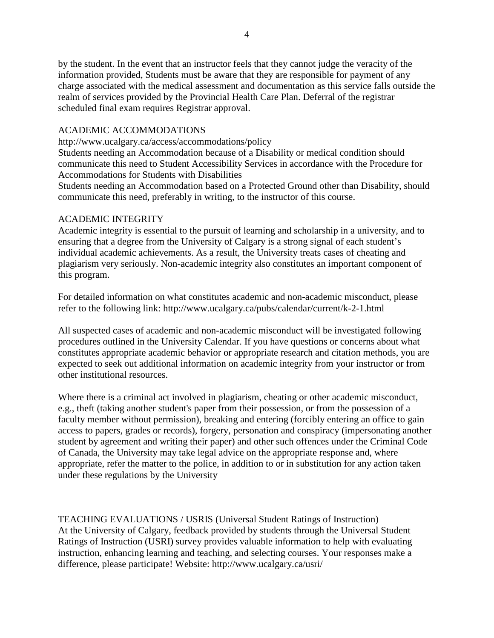by the student. In the event that an instructor feels that they cannot judge the veracity of the information provided, Students must be aware that they are responsible for payment of any charge associated with the medical assessment and documentation as this service falls outside the realm of services provided by the Provincial Health Care Plan. Deferral of the registrar scheduled final exam requires Registrar approval.

## ACADEMIC ACCOMMODATIONS

http://www.ucalgary.ca/access/accommodations/policy

Students needing an Accommodation because of a Disability or medical condition should communicate this need to Student Accessibility Services in accordance with the Procedure for Accommodations for Students with Disabilities

Students needing an Accommodation based on a Protected Ground other than Disability, should communicate this need, preferably in writing, to the instructor of this course.

### ACADEMIC INTEGRITY

Academic integrity is essential to the pursuit of learning and scholarship in a university, and to ensuring that a degree from the University of Calgary is a strong signal of each student's individual academic achievements. As a result, the University treats cases of cheating and plagiarism very seriously. Non-academic integrity also constitutes an important component of this program.

For detailed information on what constitutes academic and non-academic misconduct, please refer to the following link: http://www.ucalgary.ca/pubs/calendar/current/k-2-1.html

All suspected cases of academic and non-academic misconduct will be investigated following procedures outlined in the University Calendar. If you have questions or concerns about what constitutes appropriate academic behavior or appropriate research and citation methods, you are expected to seek out additional information on academic integrity from your instructor or from other institutional resources.

Where there is a criminal act involved in plagiarism, cheating or other academic misconduct, e.g., theft (taking another student's paper from their possession, or from the possession of a faculty member without permission), breaking and entering (forcibly entering an office to gain access to papers, grades or records), forgery, personation and conspiracy (impersonating another student by agreement and writing their paper) and other such offences under the Criminal Code of Canada, the University may take legal advice on the appropriate response and, where appropriate, refer the matter to the police, in addition to or in substitution for any action taken under these regulations by the University

TEACHING EVALUATIONS / USRIS (Universal Student Ratings of Instruction) At the University of Calgary, feedback provided by students through the Universal Student Ratings of Instruction (USRI) survey provides valuable information to help with evaluating instruction, enhancing learning and teaching, and selecting courses. Your responses make a difference, please participate! Website: http://www.ucalgary.ca/usri/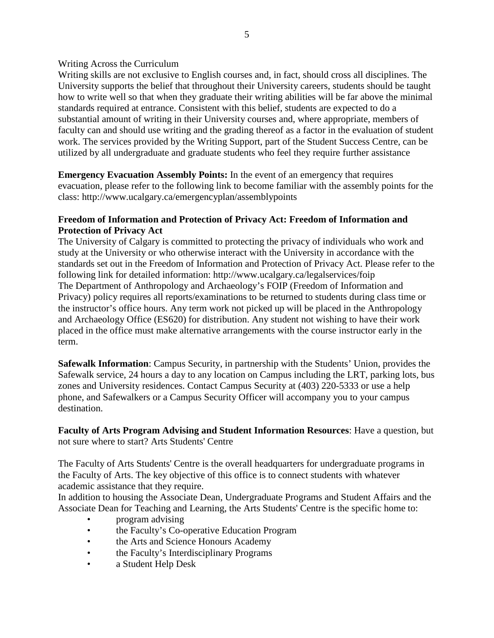### Writing Across the Curriculum

Writing skills are not exclusive to English courses and, in fact, should cross all disciplines. The University supports the belief that throughout their University careers, students should be taught how to write well so that when they graduate their writing abilities will be far above the minimal standards required at entrance. Consistent with this belief, students are expected to do a substantial amount of writing in their University courses and, where appropriate, members of faculty can and should use writing and the grading thereof as a factor in the evaluation of student work. The services provided by the Writing Support, part of the Student Success Centre, can be utilized by all undergraduate and graduate students who feel they require further assistance

**Emergency Evacuation Assembly Points:** In the event of an emergency that requires evacuation, please refer to the following link to become familiar with the assembly points for the class: http://www.ucalgary.ca/emergencyplan/assemblypoints

### **Freedom of Information and Protection of Privacy Act: Freedom of Information and Protection of Privacy Act**

The University of Calgary is committed to protecting the privacy of individuals who work and study at the University or who otherwise interact with the University in accordance with the standards set out in the Freedom of Information and Protection of Privacy Act. Please refer to the following link for detailed information: http://www.ucalgary.ca/legalservices/foip The Department of Anthropology and Archaeology's FOIP (Freedom of Information and Privacy) policy requires all reports/examinations to be returned to students during class time or the instructor's office hours. Any term work not picked up will be placed in the Anthropology and Archaeology Office (ES620) for distribution. Any student not wishing to have their work placed in the office must make alternative arrangements with the course instructor early in the term.

**Safewalk Information**: Campus Security, in partnership with the Students' Union, provides the Safewalk service, 24 hours a day to any location on Campus including the LRT, parking lots, bus zones and University residences. Contact Campus Security at (403) 220-5333 or use a help phone, and Safewalkers or a Campus Security Officer will accompany you to your campus destination.

**Faculty of Arts Program Advising and Student Information Resources**: Have a question, but not sure where to start? Arts Students' Centre

The Faculty of Arts Students' Centre is the overall headquarters for undergraduate programs in the Faculty of Arts. The key objective of this office is to connect students with whatever academic assistance that they require.

In addition to housing the Associate Dean, Undergraduate Programs and Student Affairs and the Associate Dean for Teaching and Learning, the Arts Students' Centre is the specific home to:

- program advising
- the Faculty's Co-operative Education Program
- the Arts and Science Honours Academy
- the Faculty's Interdisciplinary Programs
- a Student Help Desk